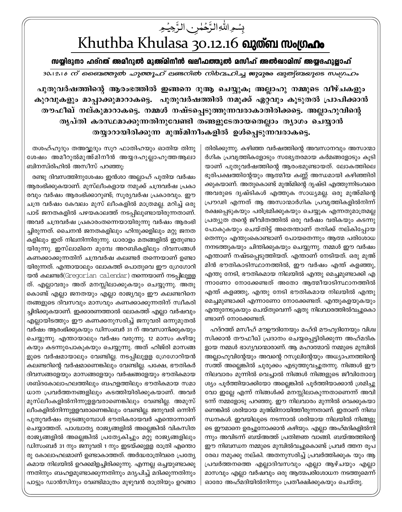## بِسُمِ اللَّهِ الرَّحْمٰنِ الرَّحِيُمِ Khuthba Khulasa 30.12.16 ณ จัด พง พง ยาก

സയ്യിദുനാ ഹദ്നത് അമീറുൽ മുഅ്മിനീൻ ഖലീഫത്തുൽ മസീഹ് അൽഖാമിസ് അയ്യദഹുല്ലാഹ് 30.12.16 ന് ബൈത്തുൽ ഹുത്തുഹ് ലണ്ടനിൽ നിർവഹിച്ച ജുദുരു ഖുത്ത്രയുടെ സംഗ്രഹം

പുതുവർഷത്തിന്റെ ആരംഭത്തിൽ ഇങ്ങനെ ദുആ ചെയ്യുക; അല്ലാഹു നമ്മുടെ വീഴ്ചകളും കുറവുകളും മാപ്പാക്കുമാറാകട്ടെ. പുതുവർഷത്തിൽ നമുക്ക് ഏറ്റവും കൂടുതൽ പ്രാപിക്കാൻ തൗഫീഖ് നല്കുമാറാകട്ടെ. നമ്മൾ നഷ്ടപ്പെടുത്തുന്നവരാകാതിരിക്കട്ടെ. അല്ലാഹുവിന്റെ തൃപ്തി കരസ്ഥമാക്കുന്നതിനുവേണ്ടി തങ്ങളുടേതായതെല്ലാം ത്യാഗം ചെയ്യാൻ തയ്യാറായിരിക്കുന്ന മുഅ്മിനീംകളിൽ ഉൾപ്പെടുന്നവരാകട്ടെ.

> തിരിക്കുന്നു. കഴിഞ്ഞ വർഷത്തിന്റെ അവസാനവും അസാന്മാ ർഗിക പ്രവൃത്തികളോടും സഭ്യേതരമായ കർമങ്ങളോടും കൂടി യാണ് പുതുവർഷത്തിന്റെ ആരംഭമുണ്ടായത്. ലോകത്തിലെ ഭൂരിപക്ഷത്തിന്റേയും ആത്മീയ കണ്ണ് അന്ധമായി കഴിഞ്ഞിരി ക്കുകയാണ്. അതുകൊണ്ട് മുഅ്മിന്റെ ദൃഷ്ടി എത്തുന്നിടംവരെ അവരുടെ ദൃഷ്ടികൾ എത്തുക സാധ്യമല്ല. ഒരു മുഅ്മിന്റെ പ്രൗഢി എന്നത് ആ അസാന്മാർഗിക പ്രവൃത്തികളിൽനിന്ന് രക്ഷപ്പെടുകയും പരിഭ്രമിക്കുകയും ചെയ്യുക എന്നതുമാത്രമല്ല പ്രത്യുത തന്റെ ജീവിതത്തിൽ ഒരു വർഷം വരികയും കടന്നു പോകുകയും ചെയ്തിട്ട് അതെന്താണ് തനിക്ക് നല്കിപ്പോയ തെന്നും എന്തുംകൊണ്ടാണ് പോയതെന്നും ആത്മ പരിശോധ നനടത്തുകയും ചിന്തിക്കുകയും ചെയ്യുന്നു. നമ്മൾ ഈ വർഷം എന്താണ് നഷ്ടപ്പെടുത്തിയത്. എന്താണ് നേടിയത്. ഒരു മുഅ് മിൻ ഭൗതികാടിസ്ഥാനത്തിൽ, ഈ വർഷം എന്ത് കളഞ്ഞു, എന്തു നേടി, ഭൗതികമായ നിലയിൽ എന്തു മെച്ചമുണ്ടാക്കി എ ന്നാണോ നോക്കേണ്ടത് അതോ ആത്മീയാടിസ്ഥാനത്തിൽ എന്ത് കളഞ്ഞു, എന്തു നേടി ഭൗതികമായ നിലയിൽ എന്തു മെച്ചമുണ്ടാക്കി എന്നാണോ നോക്കേണ്ടത്. എന്തുകളയുകയും എന്തുനേടുകയും ചെയ്തുവെന്ന് ഏതു നിലവാരത്തിൽവച്ചുകൊ ണ്ടാണ് നോക്കേണ്ടത്.

> ഹദ്റത്ത് മസീഹ് മൗഊദിനേയും മഹ്ദി മൗഹൂദിനേയും വിശ്വ സിക്കാൻ തൗഫീഖ് പ്രദാനം ചെയ്യപ്പെട്ടിരിക്കുന്ന അഹ്മദിക ളായ നമ്മൾ ഭാഗ്യവാന്മാരാണ്. ആ മഹാത്മാവ് നമ്മുടെ മുമ്പിൽ അല്ലാഹുവിന്റേയും അവന്റെ റസുലിന്റേയും അധ്യാപനത്തിന്റെ സത്ത് അല്ലെങ്കിൽ ചുരുക്കം എടുത്തുവച്ചുതന്നു. നിങ്ങൾ ഈ നിലവാരം മുന്നിൽ വെച്ചാൽ നിങ്ങൾ നിങ്ങളുടെ ജീവിതോദ്ദേ ശ്യം പൂർത്തിയാക്കിയോ അല്ലെങ്കിൽ പൂർത്തിയാക്കാൻ ശ്രമിച്ചു വോ ഇല്ലേ എന്ന് നിങ്ങൾക്ക് മനസ്സിലാകുന്നതാണെന്ന് അവി ടന്ന് നമ്മളോടു പറഞ്ഞു. ഈ നിലവാരം മുന്നിൽ വെക്കുകയാ ണെങ്കിൽ ശരിയായ മുഅ്മിനായിത്തീരുന്നതാണ്. ഇതാണ് നിബ ന്ധനകൾ. ഇവയിലുടെ നടന്നാൽ ശരിയായ നിലയിൽ നിങ്ങളു ടെ ഈമാനെ ഉരച്ചുനോക്കാൻ കഴിയും. എല്ലാ അഹ്മദികളിൽനി ന്നും അവിടന്ന് ബയ്അത്ത് പ്രതിജ്ഞ വാങ്ങി. ബയ്അത്തിന്റെ ഈ നിബന്ധന നമ്മുടെ മുമ്പിൽവച്ചുകൊണ്ട് പ്രവർ ത്തന രൂപ രേഖ നമുക്കു നല്കി. അതനുസരിച്ച് പ്രവർത്തിക്കുക യും ആ പ്രവർത്തനത്തെ എല്ലാദിവസവും എല്ലാ ആഴ്ചയും എല്ലാ മാസവും എല്ലാ വർഷവും ഒരു ആത്മപരിശോധന നടത്തുമെന്ന് ഓരോ അഹ്മദിയിൽനിന്നും പ്രതീക്ഷിക്കുകയും ചെയ്തു.

തശഹ്ഹുദും തഅവ്വുദും സൂറ ഫാതിഹയും ഓതിയ തിനു ശേഷം അമീറുൽമുഅ്മിനീൻ അയ്യദഹുല്ലാഹുത്തആലാ ബിനസ്രിഹിൽ അസീസ് പറഞ്ഞു:

രണ്ടു ദിവസത്തിനുശേഷം ഇൻശാ അല്ലാഹ് പുതിയ വർഷം ആരംഭിക്കുകയാണ്. മുസ്ലീംകളായ നമുക്ക് ചന്ദ്രവർഷ പ്രകാ രവും വർഷം ആരംഭിക്കാറുണ്ട്; സൂര്യവർഷ പ്രകാരവും. ഈ ചന്ദ്ര വർഷം കേവലം മുസ് ലീംകളിൽ മാത്രമല്ല. മറിച്ച് ഒരു പാട് ജനതകളിൽ പഴയകാലത്ത് നടപ്പിലുണ്ടായിരുന്നതാണ്. അവർ ചന്ദ്രവർഷ പ്രകാരംതന്നെയായിരുന്നു വർഷം ആരംഭി ച്ചിരുന്നത്. ചൈനൻ ജനതകളിലും ഹിന്ദുക്കളിലും മറ്റു ജനത കളിലും ഇത് നിലനിന്നിരുന്നു. ധാരാളം മതങ്ങളിൽ ഇതുണ്ടാ യിരുന്നു. ഇസ്ലാമിനെ മുമ്പേ അറബികളിലും ദിവസങ്ങൾ കണക്കാക്കുന്നതിന് ചന്ദ്രവർഷ കലണ്ടർ തന്നെയാണ് ഉണ്ടാ യിരുന്നത്. എന്തായാലും ലോകത്ത് പൊതുവെ ഈ ഗ്രേഗോറി യൻ കലണ്ടർ(Gregorian calendar) തന്നെയാണ് നടപ്പിലുളള ത്. എല്ലാവരും അത് മനസ്സിലാക്കുകയും ചെയ്യുന്നു. അതു കൊണ്ട് എല്ലാ ജനതയും എല്ലാ രാജ്യവും ഈ കലണ്ടറിനെ തങ്ങളുടെ ദിവസവും മാസവും കണക്കാക്കുന്നതിന് സ്വീകരി ച്ചിരിക്കുകയാണ്. ഇക്കാരണത്താൽ ലോകത്ത് എല്ലാ വർഷവും എല്ലായിടത്തും ഈ കണക്കനുസരിച്ച് ജനുവരി ഒന്നുമുതൽ വർഷം ആരംഭിക്കുകയും ഡിസംബർ 31 ന് അവസാനിക്കുകയും ചെയ്യുന്നു. എന്തായാലും വർഷം വരുന്നു. 12 മാസം കഴിയു കയും കടന്നുപോകുകയും ചെയ്യുന്നു. അത് ഹിജ്രി മാസങ്ങ ളുടെ വർഷമായാലും വേണ്ടില്ല. നടപ്പിലുള്ള ഗ്രേഗോറിയൻ കലണ്ടറിന്റെ വർഷമാണെങ്കിലും വേണ്ടില്ല. പക്ഷേ, ഭൗതികർ ദിവസങ്ങളേയും മാസങ്ങളേയും വർഷങ്ങളേയും ഭൗതികമായ ശബ്ദകോലാഹലത്തിലും ബഹളത്തിലും ഭൗതികമായ സമാ ധാന പ്രവർത്തനങ്ങളിലും കടത്തിയിരിക്കുകയാണ്. അവർ മുസ്ലീംകളിൽനിന്നുളളവരാണെങ്കിലും വേണ്ടില്ല. അമുസ് ലീംകളിൽനിന്നുളളവരാണെങ്കിലും വേണ്ടില്ല. ജനുവരി ഒന്നിന് പുതുവർഷം തുടങ്ങുമ്പോൾ ഭൗതികരായവർ എന്തൊന്നാണ് ചെയ്യാത്തത്. പാശ്ചാത്യ രാജ്യങ്ങളിൽ അല്ലെങ്കിൽ വികസിത രാജ്യങ്ങളിൽ അല്ലെങ്കിൽ പ്രത്യേകിച്ചും മറ്റു രാജ്യങ്ങളിലും ഡിസംബർ 31 നും ജനുവരി 1 നും ഇടയ്ക്കുളള രാത്രി എന്തൊ രു കോലാഹലമാണ് ഉണ്ടാകാത്തത്. അർദ്ധരാത്രിവരെ പ്രത്യേ കമായ നിലയിൽ ഉറക്കമിളച്ചിരിക്കുന്നു. എന്നല്ല ഒച്ചയുണ്ടാക്കു ന്നതിനും ബഹളമുണ്ടാക്കുന്നതിനും മദ്യപിച്ച് മദിക്കുന്നതിനും പാട്ടും ഡാൻസിനും വേണ്ടിമാത്രം മുഴുവൻ രാത്രിയും ഉറങ്ങാ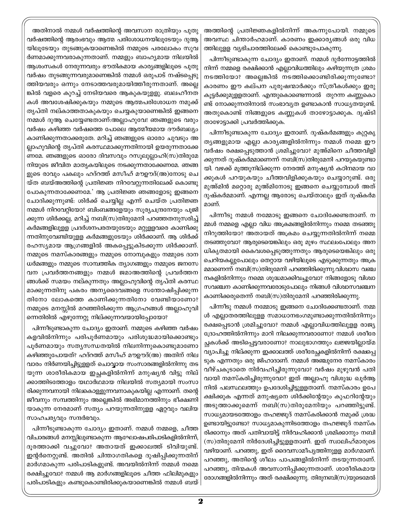അതിനാൽ നമ്മൾ വർഷത്തിന്റെ അവസാന രാത്രിയും പുതു വർഷത്തിന്റെ ആരംഭവും ആത്മ പരിശോധനയിലൂടേയും ദുആ യിലുടേയും തുടങ്ങുകയാണെങ്കിൽ നമ്മുടെ പരലോകം സുവ ർണമാക്കുന്നവരാകുന്നതാണ്. നമ്മളും ബാഹ്യമായ നിലയിൽ ആശംസകൾ നേരുന്നവരും ഭൗതികമായ കാര്യങ്ങളിലൂടെ പുതു വർഷം തുടങ്ങുന്നവരുമാണെങ്കിൽ നമ്മൾ ഒരുപാട് നഷ്ടപ്പെടു ത്തിയവരും ഒന്നും നേടാത്തവരുമായിത്തീരുന്നതാണ്. അല്ലെ ങ്കിൽ വളരെ കുറച്ച് നേടിയവരെ ആകുകയുള്ളു. ബലഹീനത കൾ അവശേഷിക്കുകയും നമ്മുടെ ആത്മപരിശോധന നമുക്ക് തൃപ്തി നല്കാത്തതാകുകയും ചെയ്യകുയാണെങ്കിൽ ഇങ്ങനെ നമ്മൾ ദുആ ചെയ്യേണ്ടതാണ്:അല്ലാഹുവേ! ഞങ്ങളുടെ വരും വർഷം കഴിഞ്ഞ വർഷത്തെ പോലെ ആത്മീയമായ ദൗർബല്യം കാണിക്കുന്നതാക്കരുതേ. മറിച്ച് ഞങ്ങളുടെ ഓരോ ചുവടും അ ല്ലാഹുവിന്റെ തൃപ്തി കരസ്ഥമാക്കുന്നതിനായി ഉയരുന്നതാക്കേ ണമേ. ഞങ്ങളുടെ ഓരോ ദിവസവും റസൂലുല്ലാഹി(സ)തിരുമേ നിയുടെ ജീവിത മാതൃകയിലൂടെ നടക്കുന്നതാക്കേണമേ. ഞങ്ങ ളുടെ രാവും പകലും ഹദ്റത്ത് മസീഹ് മൗഊദ്(അ)നോടു ചെ യ്ത ബയ്അത്തിന്റെ പ്രതിജ്ഞ നിറവേറ്റുന്നതിലേക്ക് കൊണ്ടു പോകുന്നതാക്കേണമേ.' ആ പ്രതിജ്ഞ ഞങ്ങളോടു ഇങ്ങനെ ചോദിക്കുന്നുണ്ട്: ശിർക്ക് ചെയ്യില്ല എന്ന് ചെയ്ത പ്രതിജ്ഞ നമ്മൾ നിറവേറ്റിയോ? ബിംബങ്ങളേയും സൂര്യചന്ദ്രനേയും പൂജി ക്കുന്ന ശിർക്കല്ല, മറിച്ച് നബി(സ)തിരുമേനി പറഞ്ഞതനുസരിച്ച് കർമങ്ങളിലുളള പ്രദർശനപരതയുടേയും മറ്റുളളവരെ കാണിക്കു ന്നതിനുവേണ്ടിയുള്ള കർമങ്ങളുടേയും ശിർക്കാണ്. ആ ശിർക്ക് രഹസ്യമായ ആഗ്രങ്ങളിൽ അകപ്പെട്ടുകിടക്കുന്ന ശിർക്കാണ്. നമ്മുടെ നമസ്കാരങ്ങളും നമ്മുടെ നോമ്പുകളും നമ്മുടെ ദാന ധർമങ്ങളും നമ്മുടെ സാമ്പത്തിക ത്യാഗങ്ങളും നമ്മുടെ ജനസേ വന പ്രവർത്തനങ്ങളും നമ്മൾ ജമാഅത്തിന്റെ പ്രവർത്തന ങ്ങൾക്ക് സമയം നല്കുന്നതും അല്ലാഹുവിന്റെ തൃപ്തി കരസ്ഥ മാക്കുന്നതിനു പകരം അന്യദൈവങ്ങളെ സന്തോഷിപ്പിക്കുന്ന തിനോ ലോകത്തെ കാണിക്കുന്നതിനോ വേണ്ടിയാണോ? നമ്മുടെ മനസ്സിൽ മറഞ്ഞിരിക്കുന്ന ആഗ്രഹങ്ങൾ അല്ലാഹുവി ന്നെതിരിൽ എഴുന്നേറ്റു നില്ക്കുന്നവയായിപ്പോയോ?

പിന്നീടുണ്ടാകുന്ന ചോദ്യം ഇതാണ്. നമ്മുടെ കഴിഞ്ഞ വർഷം കളവിൽനിന്നും പരിപൂർണമായും പരിശുദ്ധമായിക്കൊണ്ടും പൂർണമായും സത്യസന്ധതയിൽ നിലനിന്നുകൊണ്ടുമാണോ കഴിഞ്ഞുപോയത്? ഹദ്റത്ത് മസീഹ് മൗഊദ്(അ) അതിന് നില വാരം നിർണയിച്ചിട്ടുള്ളത് ചൊവ്വായ സംസാരങ്ങളിൽനിന്നു തട യുന്ന ശാരീരികമായ ഇച്ഛകളിൽനിന്ന് മനുഷ്യൻ വിട്ടു നില് ക്കാത്തിടത്തോളം യഥാർഥമായ നിലയിൽ സത്യമായി സംസാ രിക്കുന്നവനായി നിലകൊള്ളുന്നവനാകുകയില്ല എന്നാണ്. തന്റെ ജീവനും സമ്പത്തിനും അല്ലെങ്കിൽ അഭിമാനത്തിനും ഭീക്ഷണി യാകുന്ന നേരമാണ് സത്യം പറയുന്നതിനുളള ഏറ്റവും വലിയ സാഹചര്യവും സന്ദർഭവും.

പിന്നീടുണ്ടാകുന്ന ചോദ്യം ഇതാണ്. നമ്മൾ നമ്മളെ, ചീത്ത വിചാരങ്ങൾ മനസ്സിലുണ്ടാകുന്ന ആഘോഷപരിപാടികളിൽനിന്ന്, ദൂരത്താക്കി വച്ചുവോ? അതായത് ഇക്കാലത്ത് ടിവിയുണ്ട്. ഇന്റർനെറ്റുണ്ട്. അതിൽ ചിന്താഗതികളെ ദുഷിപ്പിക്കുന്നതിന് മാർഗമാകുന്ന പരിപാടികളുണ്ട്. അവയിൽനിന്ന് നമ്മൾ നമ്മെ രക്ഷിച്ചുവോ? നമ്മൾ ആ മാർഗങ്ങളിലൂടെ ചീത്ത ഫിലിമുകളും പരിപാടികളും കണ്ടുകൊണ്ടിരിക്കുകയാണെങ്കിൽ നമ്മൾ ബയ്

അത്തിന്റെ പ്രതിജ്ഞകളിൽനിന്ന് അകന്നുപോയി. നമ്മുടെ അവസ്ഥ ചിന്താർഹമാണ്. കാരണം ഇക്കാര്യങ്ങൾ ഒരു വിധ ത്തിലുള്ള വ്യഭിചാരത്തിലേക്ക് കൊണ്ടുപോകുന്നു.

പിന്നീടുണ്ടാകുന്ന ചോദ്യം ഇതാണ്. നമ്മൾ ദുർന്നോട്ടത്തിൽ നിന്ന് നമ്മളെ രക്ഷിക്കാൻ എല്ലാവിധത്തിലും കഴിയുന്നത്ര ശ്രമം നടത്തിയോ? അല്ലെങ്കിൽ നടത്തിക്കൊണ്ടിരിക്കുന്നുണ്ടോ? കാരണം ഈ കല്പന പുരുഷന്മാർക്കും സ്ത്രീകൾക്കും ഇരു കൂട്ടർക്കുമുള്ളതാണ്. എന്തുകൊണ്ടെന്നാൽ തുറന്ന കണ്ണുകൊ ണ്ട് നോക്കുന്നതിനാൽ സംഭാവൃത ഉണ്ടാകാൻ സാധ്യതയുണ്ട്. അതുകൊണ്ട് നിങ്ങളുടെ കണ്ണുകൾ താഴോട്ടാക്കുക. ദൃഷ്ടി താഴോട്ടാക്കി പ്രവർത്തിക്കുക.

പിന്നീടുണ്ടാകുന്ന ചോദ്യം ഇതാണ്. ദുഷ്കർമങ്ങളും കുറ്റകൃ ത്യങ്ങളുമായ എല്ലാ കാര്യങ്ങളിൽനിന്നും നമ്മൾ നമ്മെ ഈ വർഷം രക്ഷപ്പെടുത്താൻ ശ്രമിച്ചുവോ? മുഅ്മിനെ ചീത്തവിളി ക്കുന്നത് ദുഷ്കർമ്മാണെന്ന് നബി(സ)തിരുമേനി പറയുകയുണ്ടാ യി. വഴക്ക് മുത്തുനില്ക്കുന്ന നേരത്ത് മനുഷ്യൻ കഠിനമായ വാ ക്കുകൾ പറയുകയും ചീത്തവിളിക്കുകയും ചെയ്യാറുണ്ട്. ഒരു മുഅ്മിൻ മറ്റൊരു മുഅ്മിനോടു ഇങ്ങനെ ചെയ്യുമ്പോൾ അത് ദുഷ്കർമമാണ്. എന്നല്ല ആരോടു ചെയ്താലും ഇത് ദുഷ്കർമ മാണ്.

പിന്നീടു നമ്മൾ നമ്മോടു ഇങ്ങനെ ചോദിക്കേണ്ടതാണ്. ന മ്മൾ നമ്മളെ എല്ലാ വിധ അക്രമങ്ങളിൽനിന്നും നമ്മെ തടഞ്ഞു നിറുത്തിയോ? അതായത് അക്രമം ചെയ്യുന്നതിൽനിന്ന് നമ്മെ തടഞ്ഞുവോ? ആരുടെയെങ്കിലും ഒരു മുഴം സ്ഥലംപോലും അന ധികൃതമായി കൈവശപ്പെടുത്തുന്നതും ആരുടെയെങ്കിലും ഒരു ചെറിയകല്ലുപോലും തെറ്റായ വഴിയിലൂടെ എടുക്കുന്നതും അക്ര മ്മാണെന്ന് നബി(സ)തിരുമേനി പറഞ്ഞിരിക്കുന്നു.വിശ്വാസ വഞ്ച നകളിൽനിന്നും നമ്മെ ശുദ്ധമാക്കിവച്ചുവോ? നിങ്ങളോടു വിശ്വാ സവഞ്ചന കാണിക്കുന്നവരോടുപോലും നിങ്ങൾ വിശ്വാസവഞ്ചന കാണിക്കരുതെന്ന് നബി(സ)തിരുമേനി പറഞ്ഞിരിക്കുന്നു.

പിന്നീടു നമ്മൾ നമ്മോടു ഇങ്ങനെ ചോദിക്കേണ്ടതാണ്. നമ്മ ൾ എല്ലാതരത്തിലുളള സമാധാനഭംഗമുണ്ടാക്കുന്നതിൽനിന്നും രക്ഷപ്പെടാൻ ശ്രമിച്ചുവോ? നമ്മൾ എല്ലാവിധത്തിലുളള രാജ്യ ദ്രോഹത്തിൽനിന്നും മാറി നിലക്കുന്നവരാണോ? നമ്മൾ ശരീരേ ച്ഛകൾക്ക് അടിപ്പെട്ടവരാണോ? നാലുഭാഗത്തും ലജ്ജയില്ലായ്മ വ്യാപിച്ചു നില്ക്കുന്ന ഇക്കാലത്ത് ശരീരേച്ചകളിൽനിന്ന് രക്ഷപ്പെ ടുക എന്നതും ഒരു ജിഹാദാണ്. നമ്മൾ അഞ്ചുനേര നമസ്കാരം വീഴ്ചകൂടാതെ നിർവഹിച്ചിരുന്നുവോ? വർഷം മുഴുവൻ പതി വായി നമസ്കരിച്ചിരുന്നുവോ? ഇത് അല്ലാഹു വിശുദ്ധ ഖൂർആ നിൽ പലസ്ഥലത്തും ഉപദേശിച്ചിട്ടുളളതാണ്. നമസ്കാരം ഉപേ ക്ഷിക്കുക എന്നത് മനുഷ്യനെ ശിർക്കിന്റേയും കുഫറിന്റേയും അടുത്താക്കുമെന്ന് നബി(സ)തിരുമേനിയും പറഞ്ഞിട്ടുണ്ട്. സാധ്യമായടത്തോളം തഹജ്ജുദ് നമസ്കരിക്കാൻ നമുക്ക് ശ്രദ്ധ ഉണ്ടായിട്ടുണ്ടോ? സാധ്യമാകുന്നിടത്തോളം തഹജ്ജുദ് നമസ്ക രിക്കാനും അത് പതിവായിട്ട് നിർവഹിക്കാൻ ശ്രമിക്കാനും നബി (സ)തിരുമേനി നിർദേശിച്ചിട്ടുളളതാണ്. ഇത് സ്വാലിഹ്മാരുടെ വഴിയാണ്. പറഞ്ഞു, ഇത് ദൈവസാമീപൃത്തിനുള്ള മാർഗമാണ്. പറഞ്ഞു, അതിന്റെ ശീലം പാപങ്ങളിൽനിന്ന് തടയുന്നതാണ്. പറഞ്ഞു, തിന്മകൾ അവസാനിപ്പിക്കുന്നതാണ്. ശാരീരികമായ രോഗങ്ങളിൽനിന്നും അത് രക്ഷിക്കുന്നു. തിരുനബി(സ)യുടെമേൽ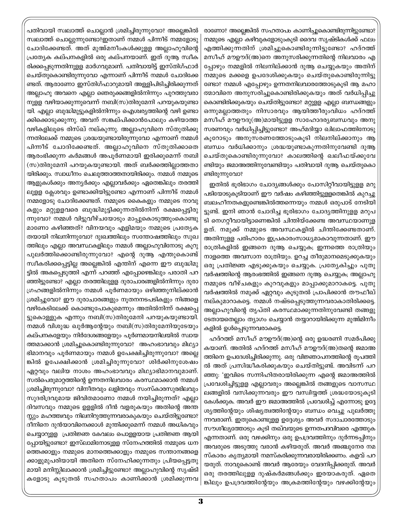പതിവായി സ്ഥാത്ത് ചൊല്ലാൻ ശ്രമിച്ചിരുന്നുവോ? അല്ലെങ്കിൽ സ്ഥാത്ത് ചൊല്ലുന്നുണ്ടോ?ഇതാണ് നമ്മൾ പിന്നീട് നമ്മളോടു ചോദിക്കേണ്ടത്. അത് മുഅ്മനീംകൾക്കുളള അല്ലാഹുവിന്റെ പ്രത്യേക കല്പനകളിൽ ഒരു കല്പനയാണ്. ഇത് ദുആ സ്വീക രിക്കപ്പെടുന്നതിനുളള മാർഗവുമാണ്. പതിവായിട്ട് ഇസ്തിഗ്ഫാർ ചെയ്തുകൊണ്ടിരുന്നുവോ എന്നാണ് പിന്നീട് നമ്മൾ ചോദിക്കേ ണ്ടത്. ആരാണോ ഇസ്തിഗ്ഫാറുമായി അള്ളിപിടിച്ചിരിക്കുന്നത് അല്ലാഹു അവനെ എല്ലാ ഞെരുക്കങ്ങളിൽനിന്നും പുറത്തുവരാ നുളള വഴിയാക്കുന്നുവെന്ന് നബി(സ)തിരുമേനി പറയുകയുണ്ടാ യി. എല്ലാ ബുദ്ധിമുട്ടുകളിൽനിന്നും ഐശ്വര്യത്തിന്റെ വഴി ഉണ്ടാ ക്കിക്കൊടുക്കുന്നു. അവന് സങ്കല്പിക്കാൻപോലും കഴിയാത്ത വഴികളിലൂടെ രിസ്ഖ് നല്കുന്നു. അല്ലാഹുവിനെ സ്തുതിക്കു ന്നതിലേക്ക് നമ്മുടെ ശ്രദ്ധയുണ്ടായിരുന്നുവോ എന്നാണ് നമ്മൾ പിന്നീട് ചോദിക്കേണ്ടത്. അല്ലാഹുവിനെ സ്തുതിക്കാതെ ആരംഭിക്കുന്ന കർമങ്ങൾ അപൂർണമായി ഇരിക്കുമെന്ന് നബി (സ)തിരുമേനി പറയുകയുണ്ടായി. അത് ബർക്കത്തില്ലാത്തതാ യിരിക്കും. സ്വാധീനം ചെലുത്താത്തതായിരിക്കും. നമ്മൾ നമ്മുടെ ആളുകൾക്കും അന്യർക്കും എല്ലാവർക്കും ഏതെങ്കിലും തരത്തി ലുളള ക്ലേശവും ഉണ്ടാക്കിയിട്ടുണ്ടോ എന്നാണ് പിന്നീട് നമ്മൾ നമ്മളോടു ചോദിക്കേണ്ടത്. നമ്മുടെ കൈകളും നമ്മുടെ നാവു കളും മറ്റുളളവരെ ബുദ്ധിമുട്ടിക്കുന്നതിൽനിന്ന് രക്ഷപ്പെട്ടിരു ന്നുവോ? നമ്മൾ വിട്ടുവീഴ്ചയോടും മാപ്പുകൊടുത്തുംകൊണ്ടു മാണോ കഴിഞ്ഞത്? വിനയവും എളിമയും നമ്മുടെ പ്രത്യേക തയായി നിലനിന്നുവോ? ദുഃഖത്തിലും സന്തോഷത്തിലും സുഖ ത്തിലും എല്ലാ അവസ്ഥകളിലും നമ്മൾ അല്ലാഹുവിനോടു കൂറു പുലർത്തിക്കൊണ്ടിരുന്നുവോ? എന്റെ ദുആ എന്തുകൊണ്ട് സ്ഥീകരിക്കപ്പെട്ടില്ല അല്ലെങ്കിൽ എതിന് എന്നെ ഈ ബുദ്ധിമു ട്ടിൽ അകപ്പെടുത്തി എന്ന് പറഞ്ഞ് എപ്പോഴെങ്കിലും പരാതി പറ ഞ്ഞിട്ടുണ്ടോ? എല്ലാ തരത്തിലുളള ദുരാചാരങ്ങളിൽനിന്നും ദുരാ ഗ്രഹങ്ങളിൽനിന്നും നമ്മൾ പൂർണമായും ഒഴിഞ്ഞുനില്ക്കാൻ ശ്രമിച്ചുവോ? ഈ ദുരാചാരങ്ങളും നൂതനനടപടികളും നിങ്ങളെ വഴികേടിലേക്ക് കൊണ്ടുപോകുമെന്നും അതിൽനിന്ന് രക്ഷപ്പെ ട്ടുകൊള്ളുക എന്നും നബി(സ)തിരുമേനി പറയുകയുണ്ടായി. നമ്മൾ വിശുദ്ധ ഖുർആന്റേയും നബി(സ)തിരുമേനിയുടേയും കല്പനകളേയും നിർദേശങ്ങളേയും പൂർണമായനിലയിൽ സ്വായ ത്തമാക്കാൻ ശ്രമിച്ചുകൊണ്ടിരുന്നുവോ? അഹംഭാവവും മിഥ്യാ ഭിമാനവും പൂർണമായും നമ്മൾ ഉപേക്ഷിച്ചിരുന്നുവോ? അല്ലെ ങ്കിൽ ഉപേക്ഷിക്കാൻ ശ്രമിച്ചിരുന്നുവോ? ശിർക്കിനുശേഷം ഏറ്റവും വലിയ നാശം അഹംഭാവവും മിഥ്യാഭിമാനവുമാണ്. സൽപെരുമാറ്റത്തിന്റെ ഉന്നതനിലവാരം കരസ്ഥമാക്കാൻ നമ്മൾ ശ്രമിച്ചിരുന്നുവോ? വിനീതവും ലളിതവും സംസ്കാരസുരഭിലവും സുദരിദ്രവുമായ ജിവിതമാണോ നമ്മൾ നയിച്ചിരുന്നത്? എല്ലാ ദിവസവും നമ്മുടെ ഉളളിൽ ദീൻ വളരുകയും അതിന്റെ അന്ത സ്സും മഹത്ത്വവും നിലനിറുത്തുന്നവരാകുകയും ചെയ്തിട്ടുണ്ടോ? ദീനിനെ ദുൻയാവിനെക്കാൾ മുന്തിക്കുമെന്ന് നമ്മൾ അധികവും ചെയ്യാറുള്ള പ്രതിജ്ഞ കേവലം പൊള്ളയായ പ്രതിജ്ഞ ആയി പ്പോയിട്ടുണ്ടോ? ഇസ്ലാമിനോടുളള സ്നേഹത്തിൽ നമ്മുടെ ധന ത്തെക്കാളും നമ്മുടെ മാനത്തെക്കാളും നമ്മുടെ സന്താനങ്ങളെ ക്കാളുമുപരിയായി അതിനെ സ്നേഹിക്കുന്നതും പ്രിയപ്പെട്ടതു മായി മനിസ്സിലാക്കാൻ ശ്രമിച്ചിട്ടുണ്ടോ? അല്ലാഹുവിന്റെ സൃഷ്ടി കളോടു കൂടുതൽ സഹതാപം കാണിക്കാൻ ശ്രമിക്കുന്നവ

രാണോ? അല്ലെങ്കിൽ സഹതാപം കാണിച്ചുകൊണ്ടിരുന്നിട്ടുണ്ടോ? നമ്മുടെ എല്ലാ കഴിവുകളോടുംകൂടി ദൈവ സൃഷ്ടികൾക്ക് ഫലം എത്തിക്കുന്നതിന് ശ്രമിച്ചുകൊണ്ടിരുന്നിട്ടുണ്ടോ? ഹദ്റത്ത് മസീഹ് മൗഊദ്(അ)നെ അനുസരിക്കുന്നതിന്റെ നിലവാരം എ പ്പോഴും നമ്മളിൽ നിലനില്ക്കാൻ ദുആ ചെയ്യുകയും അതിന് നമ്മുടെ മക്കളെ ഉപദേശിക്കുകയും ചെയ്തുകൊണ്ടിരുന്നിട്ടു ണ്ടോ? നമ്മൾ എപ്പോഴും ഉന്നതനിലവാരത്തോടുകൂടി ആ മഹാ ത്മാവിനെ അനുസരിച്ചുകൊണ്ടിരിക്കുകയും അത് വർധിപ്പിച്ചു കൊണ്ടിരിക്കുകയും ചെയ്തിട്ടുണ്ടോ? മറ്റുളള എല്ലാ ബന്ധങ്ങളും ഒന്നുമല്ലാത്തതും നിസാരവും ആയിത്തീരുംവിധം ഹദ്റത്ത് മസീഹ് മൗഊദു(അ)മായിട്ടുളള സാഹോദര്യബന്ധവും അനു സരണവും വർധിപ്പിച്ചിട്ടുണ്ടോ? അഹ്മദിയ്യാ ഖിലാഫത്തിനോടു കൂറോടും അനുസരണത്തോടുംകൂടി നിലനില്ക്കാനും ആ ബന്ധം വർധിക്കാനും ശ്രദ്ധയുണ്ടാകുന്നതിനുവേണ്ടി ദുആ ചെയ്തുകൊണ്ടിരുന്നുവോ? കാലത്തിന്റെ ഖലീഫയ്ക്കുവേ ണ്ടിയും ജമാഅത്തിനുവേണ്ടിയും പതിവായി ദുആ ചെയ്തുകൊ ണ്ടിരുന്നുവോ?

ഇതിൽ ഭൂരിഭാഗം ചോദ്യങ്ങൾക്കും പോസിറ്റീവായിട്ടുളള മറു പടിയോടുകൂടിയാണ് ഈ വർഷം കഴിഞ്ഞിട്ടുള്ളതെങ്കിൽ കുറച്ചു ബലഹീനതകളുണ്ടെങ്കിൽത്തന്നെയും നമ്മൾ ഒരുപാട് നേടിയി ട്ടുണ്ട്. ഇനി ഞാൻ ചോദിച്ച ഭൂരിഭാഗം ചോദ്യത്തിനുളള മറുപ ടി നെഗറ്റീവായിട്ടാണെങ്കിൽ ചിന്തിയ്ക്കേണ്ട അവസ്ഥയാണുള ളത്. നമുക്ക് നമ്മുടെ അവസ്ഥകളിൽ ചിന്തിക്കേണ്ടതാണ്. അതിനുളള പരിഹാരം ഇപ്രകാരംസാധ്യമാകാവുന്നതാണ്. ഈ രാത്രികളിൽ ഇങ്ങനെ ദുആ ചെയ്യുക; ഇന്നത്തെ രാത്രിയും നാളത്തെ അവസാന രാത്രിയും. ഉറച്ച തീരുമാനമെടുക്കുകയും ഒരു പ്രതിജ്ഞ എടുക്കുകയും ചെയ്യുക. പ്രത്യേകിച്ചും പുതു വർഷത്തിന്റെ ആരംഭത്തിൽ ഇങ്ങനെ ദുആ ചെയ്യുക; അല്ലാഹു നമ്മുടെ വീഴ്ചകളും കുറവുകളും മാപ്പാക്കുമാറാകട്ടെ. പുതു വർഷത്തിൽ നമുക്ക് ഏറ്റവും കൂടുതൽ പ്രാപിക്കാൻ തൗഫീഖ് നല്കുമാറാകട്ടെ. നമ്മൾ നഷ്ടപ്പെടുത്തുന്നവരാകാതിരിക്കട്ടെ. അല്ലാഹുവിന്റെ തൃപ്തി കരസ്ഥമാക്കുന്നതിനുവേണ്ടി തങ്ങളു ടേതായതെല്ലാം ത്യാഗം ചെയ്യാൻ തയ്യാറായിരിക്കുന്ന മുഅ്മിനീം കളിൽ ഉൾപ്പെടുന്നവരാകട്ടെ.

ഹദ്റത്ത് മസീഹ് മൗഊദ്(അ)ന്റെ ഒരു ഉദ്ധരണി സമർപിക്കു കയാണ്. അതിൽ ഹദ്റത്ത് മസീഹ് മൗഊദ്(അ)തന്റെ ജമാഅ ത്തിനെ ഉപദേശിച്ചിരിക്കുന്നു. ഒരു വിജ്ഞാപനത്തിന്റെ രൂപത്തി ൽ അത് പ്രസിദ്ധീകരിക്കുകയും ചെയ്തിട്ടുണ്ട്. അവിടന്ന് പറ ഞ്ഞു: 'ഇവിടെ സന്നിഹിതരായിരിക്കുന്ന എന്റെ ജമാഅത്തിൽ പ്രവേശിച്ചിട്ടുളള എല്ലാവരും അല്ലെങ്കിൽ തങ്ങളുടെ വാസസ്ഥ ലങ്ങളിൽ വസിക്കുന്നവരും ഈ വസ്വിയ്യത്ത് ശ്രദ്ധയോടുകൂടി കേൾക്കുക. അവർ ഈ ജമാഅത്തിൽ പ്രവേശിച്ച് എന്നോടു ഉദ്ദേ ശ്യത്തിന്റേയും ശിഷ്യത്വത്തിന്റേയും ബന്ധം വെച്ചു പുലർത്തു ന്നവരാണ്. ഇതുകൊണ്ടുളള ഉദ്ദേശ്യം അവർ സദാചാരത്തോടും സൗശീല്യത്തോടും കൂടി തഖ്വയുടെ ഉന്നതപദവിവരെ എത്തുക എന്നതാണ്. ഒരു വഴക്കിനും ഒരു ഉപദ്രവത്തിനും ദുർന്നടപ്പിനും അവരുടെ അടുത്തു വരാൻ കഴിയരുത്. അവർ അഞ്ചുനേര നമ സ്കാരം കൃത്യമായി നമസ്കരിക്കുന്നവരായിരിക്കണം. കളവ് പറ യരുത്. നാവുകൊണ്ട് അവർ ആരേയും വേദനിപ്പിക്കരുത്. അവർ ഒരു തരത്തിലുളള ദുഷ്കർമങ്ങൾക്കും ഇരയാകരുത്. ഏതെ ങ്കിലും ഉപദ്രവത്തിന്റേയും അക്രമത്തിന്റേയും വഴക്കിന്റേയും